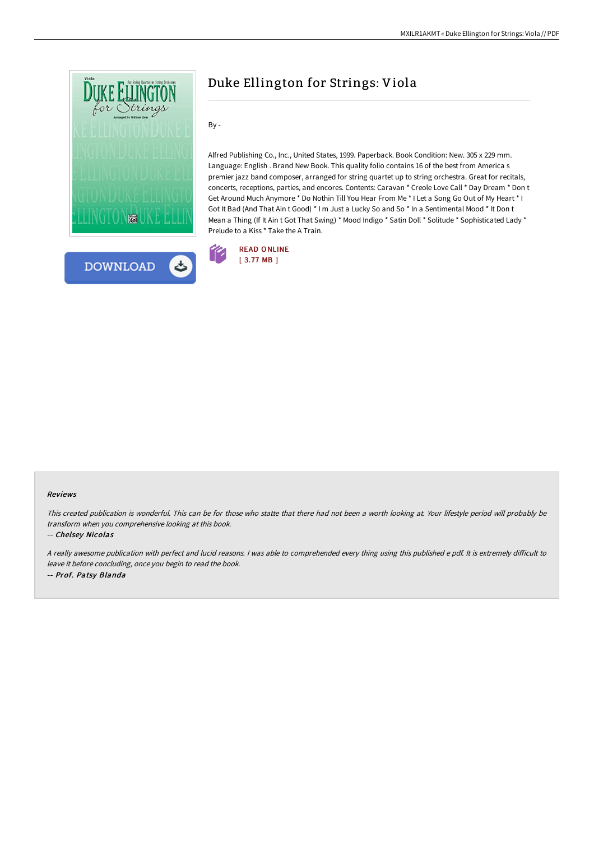



# Duke Ellington for Strings: Viola

By -

Alfred Publishing Co., Inc., United States, 1999. Paperback. Book Condition: New. 305 x 229 mm. Language: English . Brand New Book. This quality folio contains 16 of the best from America s premier jazz band composer, arranged for string quartet up to string orchestra. Great for recitals, concerts, receptions, parties, and encores. Contents: Caravan \* Creole Love Call \* Day Dream \* Don t Get Around Much Anymore \* Do Nothin Till You Hear From Me \* I Let a Song Go Out of My Heart \* I Got It Bad (And That Ain t Good) \* I m Just a Lucky So and So \* In a Sentimental Mood \* It Don t Mean a Thing (If It Ain t Got That Swing) \* Mood Indigo \* Satin Doll \* Solitude \* Sophisticated Lady \* Prelude to a Kiss \* Take the A Train.



#### Reviews

This created publication is wonderful. This can be for those who statte that there had not been <sup>a</sup> worth looking at. Your lifestyle period will probably be transform when you comprehensive looking at this book.

#### -- Chelsey Nicolas

<sup>A</sup> really awesome publication with perfect and lucid reasons. <sup>I</sup> was able to comprehended every thing using this published <sup>e</sup> pdf. It is extremely diFicult to leave it before concluding, once you begin to read the book. -- Prof. Patsy Blanda